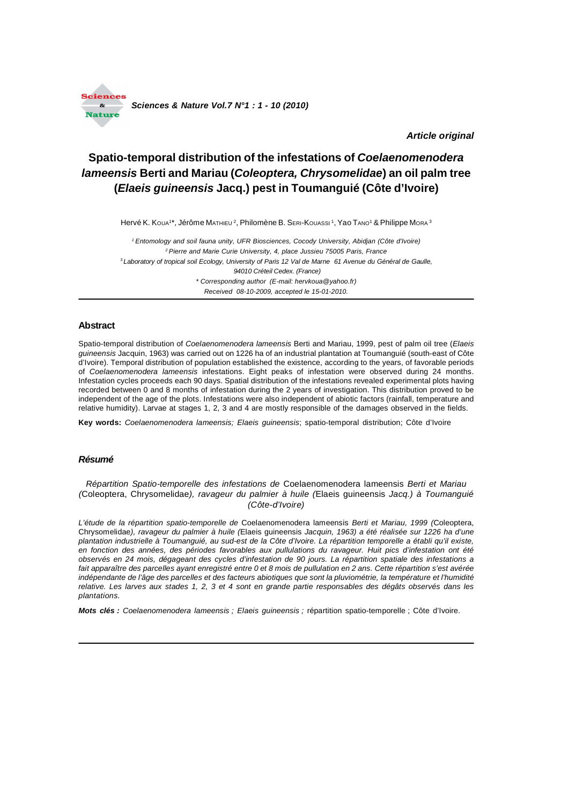

*Article original*

# **Spatio-temporal distribution of the infestations of** *Coelaenomenodera lameensis* **Berti and Mariau (***Coleoptera, Chrysomelidae***) an oil palm tree (***Elaeis guineensis* **Jacq.) pest in Toumanguié (Côte d'Ivoire)**

Hervé K. Koua1\*, Jérôme Матнієи <sup>2</sup>, Philomène B. Sєкі-Kouassı <sup>1</sup>, Yao Tano1 & Philippe Мока <sup>з</sup>

*1 Entomology and soil fauna unity, UFR Biosciences, Cocody University, Abidjan (Côte d'Ivoire) 2 Pierre and Marie Curie University, 4, place Jussieu 75005 Paris, France 3 Laboratory of tropical soil Ecology, University of Paris 12 Val de Marne 61 Avenue du Général de Gaulle, 94010 Créteil Cedex. (France) \* Corresponding author (E-mail: hervkoua@yahoo.fr) Received 08-10-2009, accepted le 15-01-2010.*

## **Abstract**

Spatio-temporal distribution of *Coelaenomenodera lameensis* Berti and Mariau, 1999, pest of palm oil tree (*Elaeis guineensis* Jacquin, 1963) was carried out on 1226 ha of an industrial plantation at Toumanguié (south-east of Côte d'Ivoire). Temporal distribution of population established the existence, according to the years, of favorable periods of *Coelaenomenodera lameensis* infestations. Eight peaks of infestation were observed during 24 months. Infestation cycles proceeds each 90 days. Spatial distribution of the infestations revealed experimental plots having recorded between 0 and 8 months of infestation during the 2 years of investigation. This distribution proved to be independent of the age of the plots. Infestations were also independent of abiotic factors (rainfall, temperature and relative humidity). Larvae at stages 1, 2, 3 and 4 are mostly responsible of the damages observed in the fields.

**Key words:** *Coelaenomenodera lameensis; Elaeis guineensis*; spatio-temporal distribution; Côte d'Ivoire

#### *Résumé*

*Répartition Spatio-temporelle des infestations de* Coelaenomenodera lameensis *Berti et Mariau (*Coleoptera, Chrysomelidae*), ravageur du palmier à huile (*Elaeis guineensis *Jacq.) à Toumanguié (Côte-d'Ivoire)*

*L'étude de la répartition spatio-temporelle de* Coelaenomenodera lameensis *Berti et Mariau, 1999 (*Coleoptera, Chrysomelidae*), ravageur du palmier à huile (*Elaeis guineensis *Jacquin, 1963) a été réalisée sur 1226 ha d'une plantation industrielle à Toumanguié, au sud-est de la Côte d'Ivoire. La répartition temporelle a établi qu'il existe, en fonction des années, des périodes favorables aux pullulations du ravageur. Huit pics d'infestation ont été observés en 24 mois, dégageant des cycles d'infestation de 90 jours. La répartition spatiale des infestations a fait apparaître des parcelles ayant enregistré entre 0 et 8 mois de pullulation en 2 ans. Cette répartition s'est avérée indépendante de l'âge des parcelles et des facteurs abiotiques que sont la pluviométrie, la température et l'humidité relative. Les larves aux stades 1, 2, 3 et 4 sont en grande partie responsables des dégâts observés dans les plantations.*

*Mots clés : Coelaenomenodera lameensis ; Elaeis guineensis ;* répartition spatio-temporelle ; Côte d'Ivoire.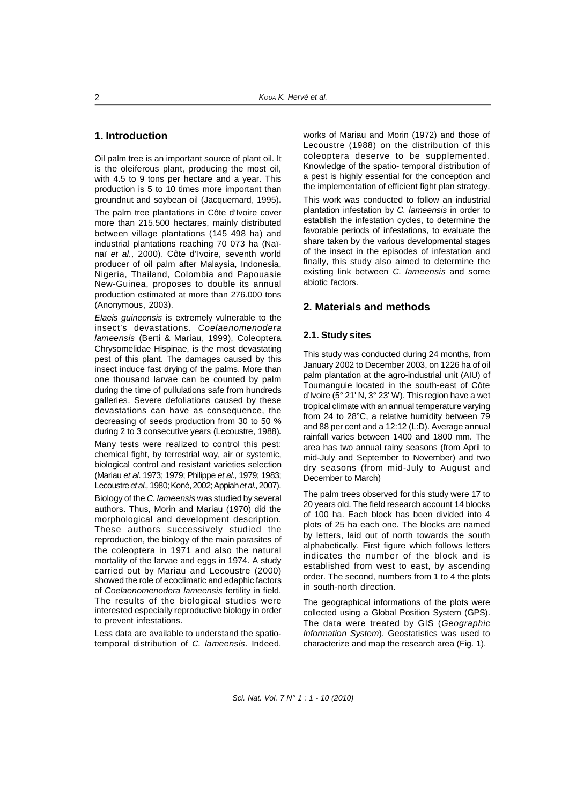# **1. Introduction**

Oil palm tree is an important source of plant oil. It is the oleiferous plant, producing the most oil, with 4.5 to 9 tons per hectare and a year. This production is 5 to 10 times more important than groundnut and soybean oil (Jacquemard, 1995)**.**

The palm tree plantations in Côte d'Ivoire cover more than 215.500 hectares, mainly distributed between village plantations (145 498 ha) and industrial plantations reaching 70 073 ha (Naïnaï *et al.,* 2000). Côte d'Ivoire, seventh world producer of oil palm after Malaysia, Indonesia, Nigeria, Thailand, Colombia and Papouasie New-Guinea, proposes to double its annual production estimated at more than 276.000 tons (Anonymous, 2003).

*Elaeis guineensis* is extremely vulnerable to the insect's devastations. *Coelaenomenodera lameensis* (Berti & Mariau, 1999), Coleoptera Chrysomelidae Hispinae, is the most devastating pest of this plant. The damages caused by this insect induce fast drying of the palms. More than one thousand larvae can be counted by palm during the time of pullulations safe from hundreds galleries. Severe defoliations caused by these devastations can have as consequence, the decreasing of seeds production from 30 to 50 % during 2 to 3 consecutive years (Lecoustre, 1988)**.**

Many tests were realized to control this pest: chemical fight, by terrestrial way, air or systemic, biological control and resistant varieties selection (Mariau *et al*. 1973; 1979; Philippe *et al.,* 1979; 1983; Lecoustre *et al.,* 1980; Koné, 2002; Appiah *et al.,* 2007).

Biology of the *C. lameensis* was studied by several authors. Thus, Morin and Mariau (1970) did the morphological and development description. These authors successively studied the reproduction, the biology of the main parasites of the coleoptera in 1971 and also the natural mortality of the larvae and eggs in 1974. A study carried out by Mariau and Lecoustre (2000) showed the role of ecoclimatic and edaphic factors of *Coelaenomenodera lameensis* fertility in field. The results of the biological studies were interested especially reproductive biology in order to prevent infestations.

Less data are available to understand the spatiotemporal distribution of *C. lameensis*. Indeed, works of Mariau and Morin (1972) and those of Lecoustre (1988) on the distribution of this coleoptera deserve to be supplemented. Knowledge of the spatio- temporal distribution of a pest is highly essential for the conception and the implementation of efficient fight plan strategy.

This work was conducted to follow an industrial plantation infestation by *C. lameensis* in order to establish the infestation cycles, to determine the favorable periods of infestations, to evaluate the share taken by the various developmental stages of the insect in the episodes of infestation and finally, this study also aimed to determine the existing link between *C. lameensis* and some abiotic factors.

# **2. Materials and methods**

## **2.1. Study sites**

This study was conducted during 24 months, from January 2002 to December 2003, on 1226 ha of oil palm plantation at the agro-industrial unit (AIU) of Toumanguie located in the south-east of Côte d'Ivoire (5° 21' N, 3° 23' W). This region have a wet tropical climate with an annual temperature varying from 24 to 28°C, a relative humidity between 79 and 88 per cent and a 12:12 (L:D). Average annual rainfall varies between 1400 and 1800 mm. The area has two annual rainy seasons (from April to mid-July and September to November) and two dry seasons (from mid-July to August and December to March)

The palm trees observed for this study were 17 to 20 years old. The field research account 14 blocks of 100 ha. Each block has been divided into 4 plots of 25 ha each one. The blocks are named by letters, laid out of north towards the south alphabetically. First figure which follows letters indicates the number of the block and is established from west to east, by ascending order. The second, numbers from 1 to 4 the plots in south-north direction.

The geographical informations of the plots were collected using a Global Position System (GPS). The data were treated by GIS (*Geographic Information System*). Geostatistics was used to characterize and map the research area (Fig. 1).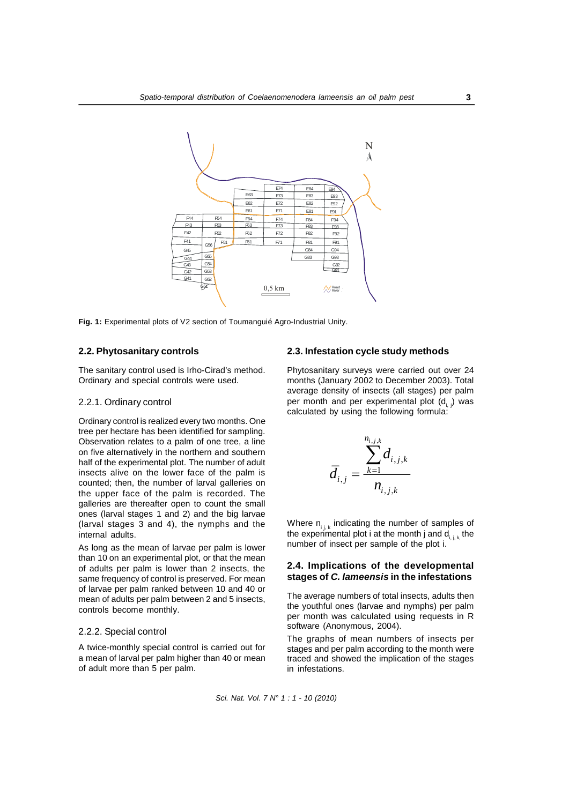

**Fig. 1:** Experimental plots of V2 section of Toumanguié Agro-Industrial Unity.

## **2.2. Phytosanitary controls**

The sanitary control used is Irho-Cirad's method. Ordinary and special controls were used.

#### 2.2.1. Ordinary control

Ordinary control is realized every two months. One tree per hectare has been identified for sampling. Observation relates to a palm of one tree, a line on five alternatively in the northern and southern half of the experimental plot. The number of adult insects alive on the lower face of the palm is counted; then, the number of larval galleries on the upper face of the palm is recorded. The galleries are thereafter open to count the small ones (larval stages 1 and 2) and the big larvae (larval stages 3 and 4), the nymphs and the internal adults.

As long as the mean of larvae per palm is lower than 10 on an experimental plot, or that the mean of adults per palm is lower than 2 insects, the same frequency of control is preserved. For mean of larvae per palm ranked between 10 and 40 or mean of adults per palm between 2 and 5 insects, controls become monthly.

## 2.2.2. Special control

A twice-monthly special control is carried out for a mean of larval per palm higher than 40 or mean of adult more than 5 per palm.

#### **2.3. Infestation cycle study methods**

Phytosanitary surveys were carried out over 24 months (January 2002 to December 2003). Total average density of insects (all stages) per palm per month and per experimental plot  $(d_i)$  was calculated by using the following formula:

$$
\overline{d}_{i,j} = \frac{\sum_{k=1}^{n_{i,j,k}} d_{i,j,k}}{n_{i,j,k}}
$$

Where  $n_{i,k}$  indicating the number of samples of the experimental plot i at the month j and  $d_{i,j,k}$  the number of insect per sample of the plot i.

### **2.4. Implications of the developmental stages of** *C. lameensis* **in the infestations**

The average numbers of total insects, adults then the youthful ones (larvae and nymphs) per palm per month was calculated using requests in R software (Anonymous, 2004).

The graphs of mean numbers of insects per stages and per palm according to the month were traced and showed the implication of the stages in infestations.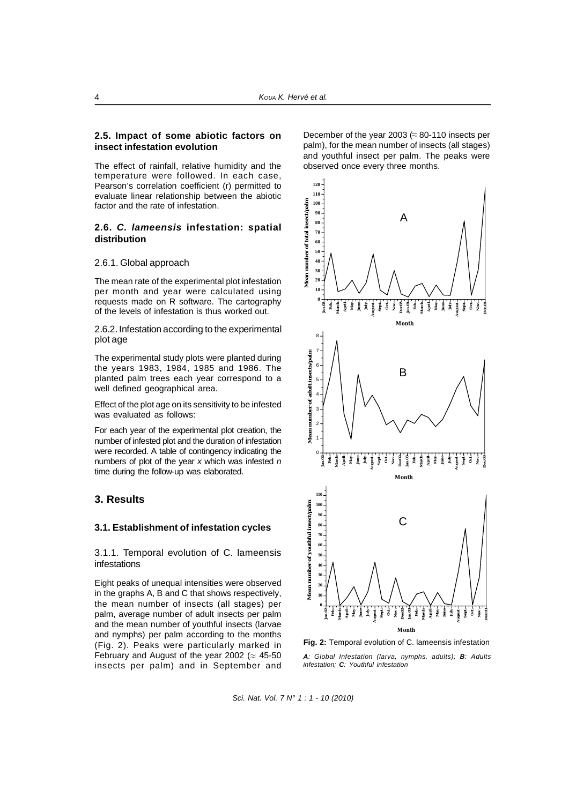#### **2.5. Impact of some abiotic factors on insect infestation evolution**

The effect of rainfall, relative humidity and the temperature were followed. In each case, Pearson's correlation coefficient (r) permitted to evaluate linear relationship between the abiotic factor and the rate of infestation.

## **2.6.** *C. lameensis* **infestation: spatial distribution**

#### 2.6.1. Global approach

The mean rate of the experimental plot infestation per month and year were calculated using requests made on R software. The cartography of the levels of infestation is thus worked out.

2.6.2. Infestation according to the experimental plot age

The experimental study plots were planted during the years 1983, 1984, 1985 and 1986. The planted palm trees each year correspond to a well defined geographical area.

Effect of the plot age on its sensitivity to be infested was evaluated as follows:

For each year of the experimental plot creation, the number of infested plot and the duration of infestation were recorded. A table of contingency indicating the numbers of plot of the year *x* which was infested *n* time during the follow-up was elaborated.

## **3. Results**

#### **3.1. Establishment of infestation cycles**

3.1.1. Temporal evolution of C. lameensis infestations

Eight peaks of unequal intensities were observed in the graphs A, B and C that shows respectively, the mean number of insects (all stages) per palm, average number of adult insects per palm and the mean number of youthful insects (larvae and nymphs) per palm according to the months (Fig. 2). Peaks were particularly marked in February and August of the year 2002 ( $\approx 45$ -50 insects per palm) and in September and

December of the year 2003 ( $\approx$  80-110 insects per palm), for the mean number of insects (all stages) and youthful insect per palm. The peaks were observed once every three months.



**Fig. 2:** Temporal evolution of C. lameensis infestation

*A: Global Infestation (larva, nymphs, adults); B: Adults infestation; C: Youthful infestation*

*Sci. Nat. Vol. 7 N° 1 : 1 - 10 (2010)*

**4**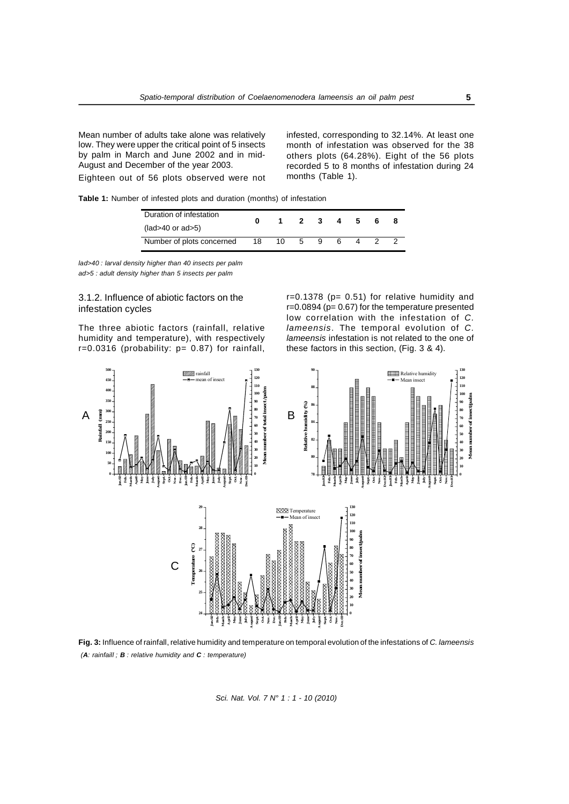Mean number of adults take alone was relatively low. They were upper the critical point of 5 insects by palm in March and June 2002 and in mid-August and December of the year 2003. Eighteen out of 56 plots observed were not infested, corresponding to 32.14%. At least one month of infestation was observed for the 38 others plots (64.28%). Eight of the 56 plots recorded 5 to 8 months of infestation during 24 months (Table 1).

**Table 1:** Number of infested plots and duration (months) of infestation

| Duration of infestation   |    | $\mathbf 1$ | $\overline{\mathbf{2}}$ | 3  | 4 | - 5 |  |
|---------------------------|----|-------------|-------------------------|----|---|-----|--|
| $(lad>40$ or $ad>5)$      |    |             |                         |    |   |     |  |
| Number of plots concerned | 18 | 10.         | 5                       | 9. | 6 |     |  |

*lad>40 : larval density higher than 40 insects per palm ad>5 : adult density higher than 5 insects per palm*

## 3.1.2. Influence of abiotic factors on the infestation cycles

The three abiotic factors (rainfall, relative humidity and temperature), with respectively r=0.0316 (probability: p= 0.87) for rainfall,  $r=0.1378$  (p= 0.51) for relative humidity and r=0.0894 (p= 0.67) for the temperature presented low correlation with the infestation of *C. lameensis*. The temporal evolution of *C. lameensis* infestation is not related to the one of these factors in this section, (Fig. 3 & 4).



*(A: rainfaill ; B : relative humidity and C : temperature)* **Fig. 3:** Influence of rainfall, relative humidity and temperature on temporal evolution of the infestations of *C. lameensis*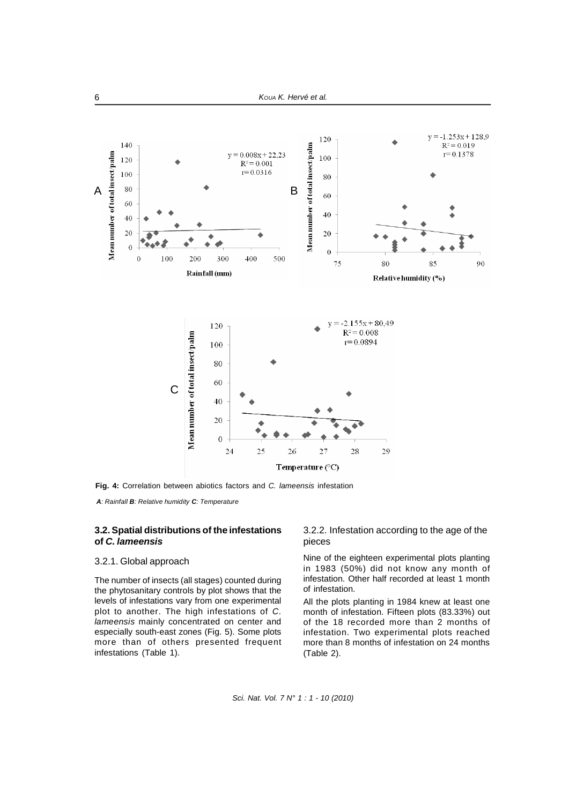

**Fig. 4:** Correlation between abiotics factors and *C. lameensis* infestation

*A: Rainfall B: Relative humidity C: Temperature*

## **3.2. Spatial distributions of the infestations of** *C. lameensis*

#### 3.2.1. Global approach

The number of insects (all stages) counted during the phytosanitary controls by plot shows that the levels of infestations vary from one experimental plot to another. The high infestations of *C. lameensis* mainly concentrated on center and especially south-east zones (Fig. 5). Some plots more than of others presented frequent infestations (Table 1).

3.2.2. Infestation according to the age of the pieces

Nine of the eighteen experimental plots planting in 1983 (50%) did not know any month of infestation. Other half recorded at least 1 month of infestation.

All the plots planting in 1984 knew at least one month of infestation. Fifteen plots (83.33%) out of the 18 recorded more than 2 months of infestation. Two experimental plots reached more than 8 months of infestation on 24 months (Table 2).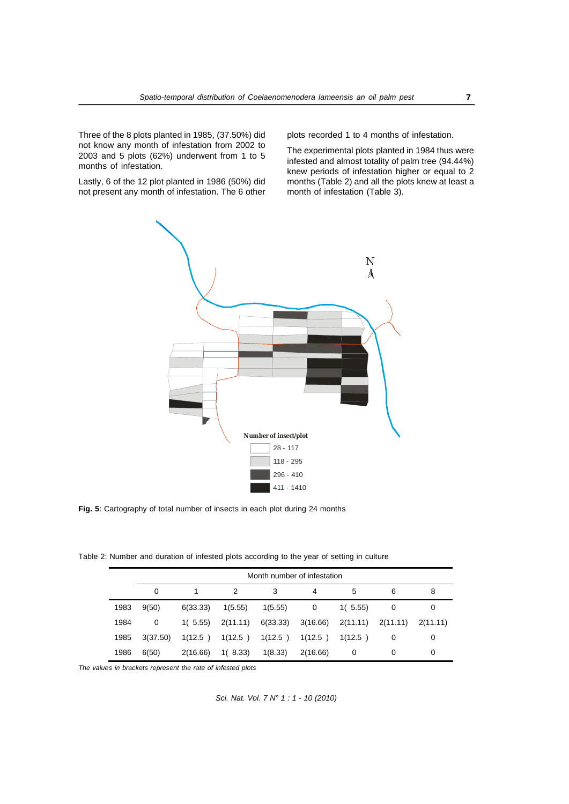Three of the 8 plots planted in 1985, (37.50%) did not know any month of infestation from 2002 to 2003 and 5 plots (62%) underwent from 1 to 5 months of infestation.

Lastly, 6 of the 12 plot planted in 1986 (50%) did not present any month of infestation. The 6 other plots recorded 1 to 4 months of infestation.

The experimental plots planted in 1984 thus were infested and almost totality of palm tree (94.44%) knew periods of infestation higher or equal to 2 months (Table 2) and all the plots knew at least a month of infestation (Table 3).



**Fig. 5**: Cartography of total number of insects in each plot during 24 months

Table 2: Number and duration of infested plots according to the year of setting in culture

|      | Month number of infestation |          |                                                                             |         |          |         |   |   |
|------|-----------------------------|----------|-----------------------------------------------------------------------------|---------|----------|---------|---|---|
|      | 0                           |          |                                                                             | 3       | 4        | 5       | 6 | 8 |
| 1983 | 9(50)                       | 6(33.33) | 1(5.55)                                                                     | 1(5.55) | 0        | 1(5.55) |   | 0 |
| 1984 | 0                           |          | $1(5.55)$ $2(11.11)$ $6(33.33)$ $3(16.66)$ $2(11.11)$ $2(11.11)$ $2(11.11)$ |         |          |         |   |   |
| 1985 | 3(37.50)                    |          | $1(12.5)$ $1(12.5)$ $1(12.5)$ $1(12.5)$ $1(12.5)$                           |         |          |         |   | 0 |
| 1986 | 6(50)                       | 2(16.66) | 1(8.33)                                                                     | 1(8.33) | 2(16.66) | 0       | 0 | 0 |

*The values in brackets represent the rate of infested plots*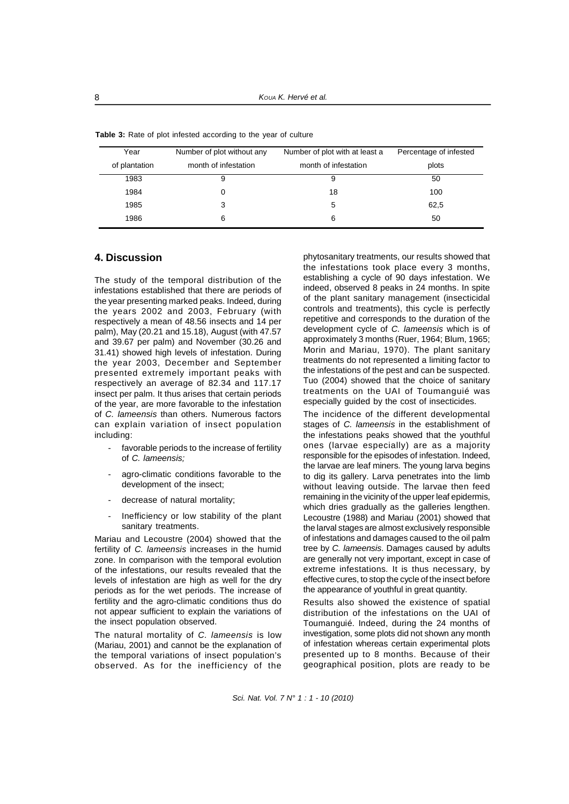| Year          | Number of plot without any | Number of plot with at least a | Percentage of infested |  |  |
|---------------|----------------------------|--------------------------------|------------------------|--|--|
| of plantation | month of infestation       | month of infestation           | plots                  |  |  |
| 1983          | 9                          | 9                              | 50                     |  |  |
| 1984          | 0                          | 18                             | 100                    |  |  |
| 1985          | 3                          |                                | 62,5                   |  |  |
| 1986          | 6                          | 6                              | 50                     |  |  |

**Table 3:** Rate of plot infested according to the year of culture

# **4. Discussion**

The study of the temporal distribution of the infestations established that there are periods of the year presenting marked peaks. Indeed, during the years 2002 and 2003, February (with respectively a mean of 48.56 insects and 14 per palm), May (20.21 and 15.18), August (with 47.57 and 39.67 per palm) and November (30.26 and 31.41) showed high levels of infestation. During the year 2003, December and September presented extremely important peaks with respectively an average of 82.34 and 117.17 insect per palm. It thus arises that certain periods of the year, are more favorable to the infestation of *C. lameensis* than others. Numerous factors can explain variation of insect population including:

- favorable periods to the increase of fertility of *C. lameensis;*
- agro-climatic conditions favorable to the development of the insect;
- decrease of natural mortality;
- Inefficiency or low stability of the plant sanitary treatments.

Mariau and Lecoustre (2004) showed that the fertility of *C. lameensis* increases in the humid zone. In comparison with the temporal evolution of the infestations, our results revealed that the levels of infestation are high as well for the dry periods as for the wet periods. The increase of fertility and the agro-climatic conditions thus do not appear sufficient to explain the variations of the insect population observed.

The natural mortality of *C. lameensis* is low (Mariau, 2001) and cannot be the explanation of the temporal variations of insect population's observed. As for the inefficiency of the phytosanitary treatments, our results showed that the infestations took place every 3 months, establishing a cycle of 90 days infestation. We indeed, observed 8 peaks in 24 months. In spite of the plant sanitary management (insecticidal controls and treatments), this cycle is perfectly repetitive and corresponds to the duration of the development cycle of *C. lameensis* which is of approximately 3 months (Ruer, 1964; Blum, 1965; Morin and Mariau, 1970). The plant sanitary treatments do not represented a limiting factor to the infestations of the pest and can be suspected. Tuo (2004) showed that the choice of sanitary treatments on the UAI of Toumanguié was especially guided by the cost of insecticides.

The incidence of the different developmental stages of *C. lameensis* in the establishment of the infestations peaks showed that the youthful ones (larvae especially) are as a majority responsible for the episodes of infestation. Indeed, the larvae are leaf miners. The young larva begins to dig its gallery. Larva penetrates into the limb without leaving outside. The larvae then feed remaining in the vicinity of the upper leaf epidermis, which dries gradually as the galleries lengthen. Lecoustre (1988) and Mariau (2001) showed that the larval stages are almost exclusively responsible of infestations and damages caused to the oil palm tree by *C. lameensis*. Damages caused by adults are generally not very important, except in case of extreme infestations. It is thus necessary, by effective cures, to stop the cycle of the insect before the appearance of youthful in great quantity.

Results also showed the existence of spatial distribution of the infestations on the UAI of Toumanguié. Indeed, during the 24 months of investigation, some plots did not shown any month of infestation whereas certain experimental plots presented up to 8 months. Because of their geographical position, plots are ready to be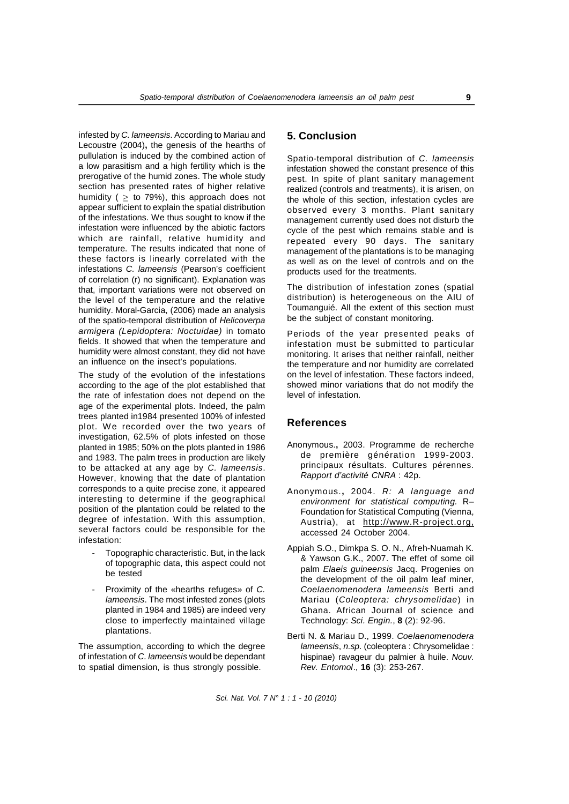infested by *C. lameensis*. According to Mariau and Lecoustre (2004)**,** the genesis of the hearths of pullulation is induced by the combined action of a low parasitism and a high fertility which is the prerogative of the humid zones. The whole study section has presented rates of higher relative humidity ( $\geq$  to 79%), this approach does not appear sufficient to explain the spatial distribution of the infestations. We thus sought to know if the infestation were influenced by the abiotic factors which are rainfall, relative humidity and temperature. The results indicated that none of these factors is linearly correlated with the infestations *C. lameensis* (Pearson's coefficient of correlation (r) no significant). Explanation was that, important variations were not observed on the level of the temperature and the relative humidity. Moral-Garcia, (2006) made an analysis of the spatio-temporal distribution of *Helicoverpa armigera (Lepidoptera: Noctuidae)* in tomato fields. It showed that when the temperature and humidity were almost constant, they did not have an influence on the insect's populations.

The study of the evolution of the infestations according to the age of the plot established that the rate of infestation does not depend on the age of the experimental plots. Indeed, the palm trees planted in1984 presented 100% of infested plot. We recorded over the two years of investigation, 62.5% of plots infested on those planted in 1985; 50% on the plots planted in 1986 and 1983. The palm trees in production are likely to be attacked at any age by *C. lameensis*. However, knowing that the date of plantation corresponds to a quite precise zone, it appeared interesting to determine if the geographical position of the plantation could be related to the degree of infestation. With this assumption, several factors could be responsible for the infestation:

- Topographic characteristic. But, in the lack of topographic data, this aspect could not be tested
- Proximity of the «hearths refuges» of *C. lameensis*. The most infested zones (plots planted in 1984 and 1985) are indeed very close to imperfectly maintained village plantations.

The assumption, according to which the degree of infestation of *C. lameensis* would be dependant to spatial dimension, is thus strongly possible.

## **5. Conclusion**

Spatio-temporal distribution of *C. lameensis* infestation showed the constant presence of this pest. In spite of plant sanitary management realized (controls and treatments), it is arisen, on the whole of this section, infestation cycles are observed every 3 months. Plant sanitary management currently used does not disturb the cycle of the pest which remains stable and is repeated every 90 days. The sanitary management of the plantations is to be managing as well as on the level of controls and on the products used for the treatments.

The distribution of infestation zones (spatial distribution) is heterogeneous on the AIU of Toumanguié. All the extent of this section must be the subject of constant monitoring.

Periods of the year presented peaks of infestation must be submitted to particular monitoring. It arises that neither rainfall, neither the temperature and nor humidity are correlated on the level of infestation. These factors indeed, showed minor variations that do not modify the level of infestation.

## **References**

- Anonymous.**,** 2003. Programme de recherche de première génération 1999-2003. principaux résultats. Cultures pérennes. *Rapport d'activité CNRA* : 42p.
- Anonymous.**,** 2004. *R: A language and environment for statistical computing.* R– Foundation for Statistical Computing (Vienna, Austria), at http://www.R-project.org, accessed 24 October 2004.
- Appiah S.O., Dimkpa S. O. N., Afreh-Nuamah K. & Yawson G.K., 2007. The effet of some oil palm *Elaeis guineensis* Jacq. Progenies on the development of the oil palm leaf miner, *Coelaenomenodera lameensis* Berti and Mariau (*Coleoptera: chrysomelidae*) in Ghana. African Journal of science and Technology: *Sci. Engin.*, **8** (2): 92-96.
- Berti N. & Mariau D., 1999. *Coelaenomenodera lameensis*, *n.sp*. (coleoptera : Chrysomelidae : hispinae) ravageur du palmier à huile. *Nouv. Rev. Entomol*., **16** (3): 253-267.